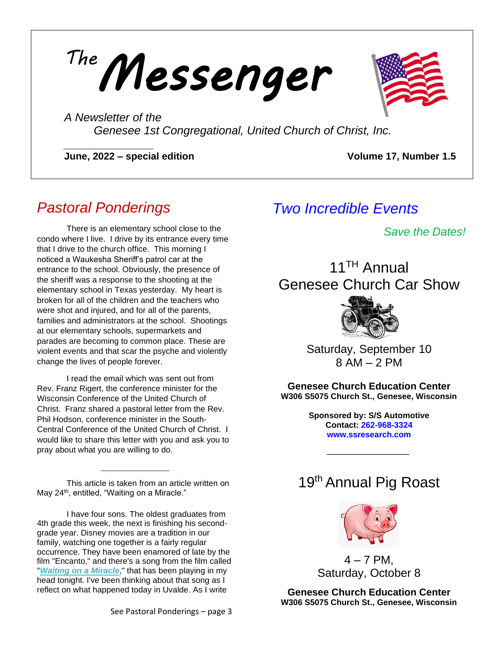*Messenger The*



*A Newsletter of the Genesee 1st Congregational, United Church of Christ, Inc.*

**June, 2022 – special edition Volume 17, Number 1.5** 

# *Pastoral Ponderings*

*\_\_\_\_\_\_\_\_\_\_\_\_\_\_*

There is an elementary school close to the condo where I live. I drive by its entrance every time that I drive to the church office. This morning I noticed a Waukesha Sheriff's patrol car at the entrance to the school. Obviously, the presence of the sheriff was a response to the shooting at the elementary school in Texas yesterday. My heart is broken for all of the children and the teachers who were shot and injured, and for all of the parents, families and administrators at the school. Shootings at our elementary schools, supermarkets and parades are becoming to common place. These are violent events and that scar the psyche and violently change the lives of people forever.

I read the email which was sent out from Rev. Franz Rigert, the conference minister for the Wisconsin Conference of the United Church of Christ. Franz shared a pastoral letter from the Rev. Phil Hodson, conference minister in the South-Central Conference of the United Church of Christ. I would like to share this letter with you and ask you to pray about what you are willing to do.

This article is taken from an article written on May 24<sup>th</sup>, entitled, "Waiting on a Miracle."

 $\frac{1}{2}$  , and the set of the set of the set of the set of the set of the set of the set of the set of the set of

I have four sons. The oldest graduates from 4th grade this week, the next is finishing his secondgrade year. Disney movies are a tradition in our family, watching one together is a fairly regular occurrence. They have been enamored of late by the film "Encanto," and there's a song from the film called "*[Waiting on a Miracle](https://www.youtube.com/watch?v=jKKrfr4To14)*," that has been playing in my head tonight. I've been thinking about that song as I reflect on what happened today in Uvalde. As I write

# *Two Incredible Events*

*Save the Dates!*

# 11TH Annual Genesee Church Car Show



Saturday, September 10 8 AM – 2 PM

**Genesee Church Education Center W306 S5075 Church St., Genesee, Wisconsin**

> **Sponsored by: S/S Automotive Contact: 262-968-3324 www.ssresearch.com**

> > *\_\_\_\_\_\_\_\_\_\_*

# 19<sup>th</sup> Annual Pig Roast



 $4 - 7$  PM. Saturday, October 8

**Genesee Church Education Center W306 S5075 Church St., Genesee, Wisconsin**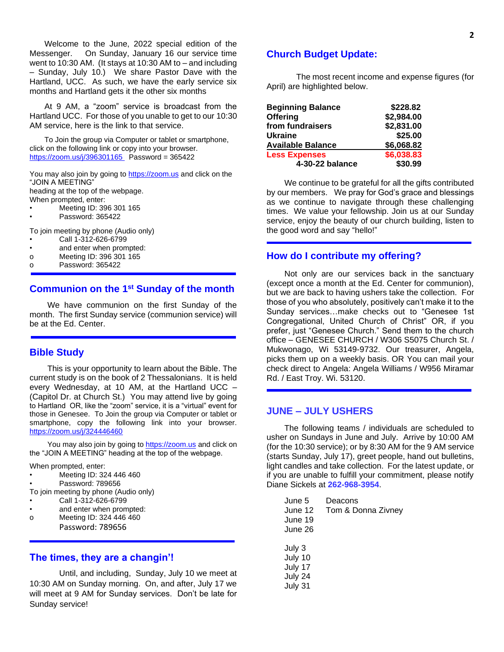Welcome to the June, 2022 special edition of the Messenger. On Sunday, January 16 our service time went to 10:30 AM. (It stays at 10:30 AM to – and including – Sunday, July 10.) We share Pastor Dave with the Hartland, UCC. As such, we have the early service six months and Hartland gets it the other six months

At 9 AM, a "zoom" service is broadcast from the Hartland UCC. For those of you unable to get to our 10:30 AM service, here is the link to that service.

To Join the group via Computer or tablet or smartphone, click on the following link or copy into your browser. <https://zoom.us/j/396301165>Password = 365422

You may also join by going to [https://zoom.us](https://mail.twcbc.com/do/redirect?url=https%253A%252F%252Fzoom.us&hmac=072438196404d11519681f933a70d8ad) and click on the "JOIN A MEETING"

heading at the top of the webpage.

- When prompted, enter:
- Meeting ID: 396 301 165 • Password: 365422

To join meeting by phone (Audio only)

- Call 1-312-626-6799
- and enter when prompted:
- o Meeting ID: 396 301 165
- o Password: 365422

## **Communion on the 1st Sunday of the month**

We have communion on the first Sunday of the month. The first Sunday service (communion service) will be at the Ed. Center.

#### **Bible Study**

This is your opportunity to learn about the Bible. The current study is on the book of 2 Thessalonians. It is held every Wednesday, at 10 AM, at the Hartland UCC – (Capitol Dr. at Church St.) You may attend live by going to Hartland OR, like the "zoom" service, it is a "virtual" event for those in Genesee. To Join the group via Computer or tablet or smartphone, copy the following link into your browser. <https://zoom.us/j/324446460>

You may also join by going to [https://zoom.us](https://mail.twcbc.com/do/redirect?url=https%253A%252F%252Fzoom.us&hmac=072438196404d11519681f933a70d8ad) and click on the "JOIN A MEETING" heading at the top of the webpage.

When prompted, enter:

- Meeting ID: 324 446 460
- Password: 789656

To join meeting by phone (Audio only)

- Call 1-312-626-6799
- and enter when prompted:
- o Meeting ID: 324 446 460 Password: 789656

#### **The times, they are a changin'!**

Until, and including, Sunday, July 10 we meet at 10:30 AM on Sunday morning. On, and after, July 17 we will meet at 9 AM for Sunday services. Don't be late for Sunday service!

#### **Church Budget Update:**

The most recent income and expense figures (for April) are highlighted below.

| <b>Beginning Balance</b> | \$228.82   |
|--------------------------|------------|
| <b>Offering</b>          | \$2,984.00 |
| from fundraisers         | \$2,831.00 |
| <b>Ukraine</b>           | \$25.00    |
| <b>Available Balance</b> | \$6,068.82 |
| <b>Less Expenses</b>     | \$6,038.83 |
| 4-30-22 balance          | \$30.99    |

We continue to be grateful for all the gifts contributed by our members. We pray for God's grace and blessings as we continue to navigate through these challenging times. We value your fellowship. Join us at our Sunday service, enjoy the beauty of our church building, listen to the good word and say "hello!"

#### **How do I contribute my offering?**

Not only are our services back in the sanctuary (except once a month at the Ed. Center for communion), but we are back to having ushers take the collection. For those of you who absolutely, positively can't make it to the Sunday services…make checks out to "Genesee 1st Congregational, United Church of Christ" OR, if you prefer, just "Genesee Church." Send them to the church office – GENESEE CHURCH / W306 S5075 Church St. / Mukwonago, Wi 53149-9732. Our treasurer, Angela, picks them up on a weekly basis. OR You can mail your check direct to Angela: Angela Williams / W956 Miramar Rd. / East Troy. Wi. 53120.

## **JUNE – JULY USHERS**

The following teams / individuals are scheduled to usher on Sundays in June and July. Arrive by 10:00 AM (for the 10:30 service); or by 8:30 AM for the 9 AM service (starts Sunday, July 17), greet people, hand out bulletins, light candles and take collection. For the latest update, or if you are unable to fulfill your commitment, please notify Diane Sickels at **262-968-3954**.

| June 5<br>June 12<br>June 19<br>June 26            | Deacons<br>Tom & Donna Zivney |
|----------------------------------------------------|-------------------------------|
| July 3<br>July 10<br>July 17<br>July 24<br>July 31 |                               |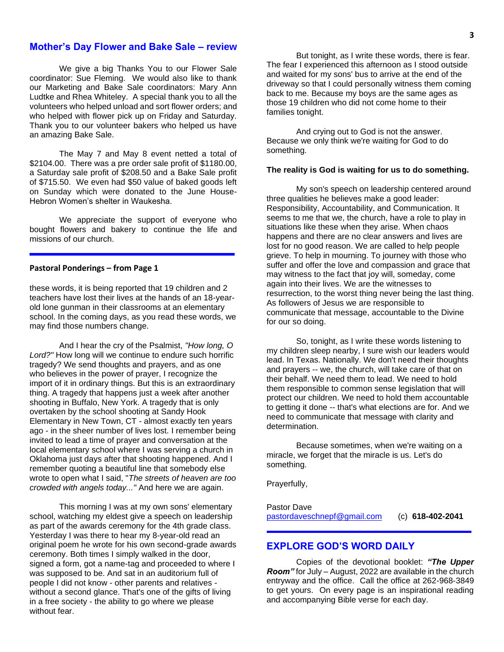### **Mother's Day Flower and Bake Sale – review**

We give a big Thanks You to our Flower Sale coordinator: Sue Fleming. We would also like to thank our Marketing and Bake Sale coordinators: Mary Ann Ludtke and Rhea Whiteley. A special thank you to all the volunteers who helped unload and sort flower orders; and who helped with flower pick up on Friday and Saturday. Thank you to our volunteer bakers who helped us have an amazing Bake Sale.

The May 7 and May 8 event netted a total of \$2104.00. There was a pre order sale profit of \$1180.00, a Saturday sale profit of \$208.50 and a Bake Sale profit of \$715.50. We even had \$50 value of baked goods left on Sunday which were donated to the June House-Hebron Women's shelter in Waukesha.

We appreciate the support of everyone who bought flowers and bakery to continue the life and missions of our church.

#### **Pastoral Ponderings – from Page 1**

these words, it is being reported that 19 children and 2 teachers have lost their lives at the hands of an 18-yearold lone gunman in their classrooms at an elementary school. In the coming days, as you read these words, we may find those numbers change.

And I hear the cry of the Psalmist, *"How long, O Lord?"* How long will we continue to endure such horrific tragedy? We send thoughts and prayers, and as one who believes in the power of prayer, I recognize the import of it in ordinary things. But this is an extraordinary thing. A tragedy that happens just a week after another shooting in Buffalo, New York. A tragedy that is only overtaken by the school shooting at Sandy Hook Elementary in New Town, CT - almost exactly ten years ago - in the sheer number of lives lost. I remember being invited to lead a time of prayer and conversation at the local elementary school where I was serving a church in Oklahoma just days after that shooting happened. And I remember quoting a beautiful line that somebody else wrote to open what I said, "*The streets of heaven are too crowded with angels today..."* And here we are again.

This morning I was at my own sons' elementary school, watching my eldest give a speech on leadership as part of the awards ceremony for the 4th grade class. Yesterday I was there to hear my 8-year-old read an original poem he wrote for his own second-grade awards ceremony. Both times I simply walked in the door, signed a form, got a name-tag and proceeded to where I was supposed to be. And sat in an auditorium full of people I did not know - other parents and relatives without a second glance. That's one of the gifts of living in a free society - the ability to go where we please without fear.

But tonight, as I write these words, there is fear. The fear I experienced this afternoon as I stood outside and waited for my sons' bus to arrive at the end of the driveway so that I could personally witness them coming back to me. Because my boys are the same ages as those 19 children who did not come home to their families tonight.

And crying out to God is not the answer. Because we only think we're waiting for God to do something.

#### **The reality is God is waiting for us to do something.**

My son's speech on leadership centered around three qualities he believes make a good leader: Responsibility, Accountability, and Communication. It seems to me that we, the church, have a role to play in situations like these when they arise. When chaos happens and there are no clear answers and lives are lost for no good reason. We are called to help people grieve. To help in mourning. To journey with those who suffer and offer the love and compassion and grace that may witness to the fact that joy will, someday, come again into their lives. We are the witnesses to resurrection, to the worst thing never being the last thing. As followers of Jesus we are responsible to communicate that message, accountable to the Divine for our so doing.

So, tonight, as I write these words listening to my children sleep nearby, I sure wish our leaders would lead. In Texas. Nationally. We don't need their thoughts and prayers -- we, the church, will take care of that on their behalf. We need them to lead. We need to hold them responsible to common sense legislation that will protect our children. We need to hold them accountable to getting it done -- that's what elections are for. And we need to communicate that message with clarity and determination.

Because sometimes, when we're waiting on a miracle, we forget that the miracle is us. Let's do something.

Prayerfully,

Pastor Dave [pastordaveschnepf@gmail.com](mailto:pastordaveschnepf@gmail.com) (c) **618-402-2041**

## **EXPLORE GOD'S WORD DAILY**

Copies of the devotional booklet: *"The Upper Room"* for July – August, 2022 are available in the church entryway and the office. Call the office at 262-968-3849 to get yours. On every page is an inspirational reading and accompanying Bible verse for each day.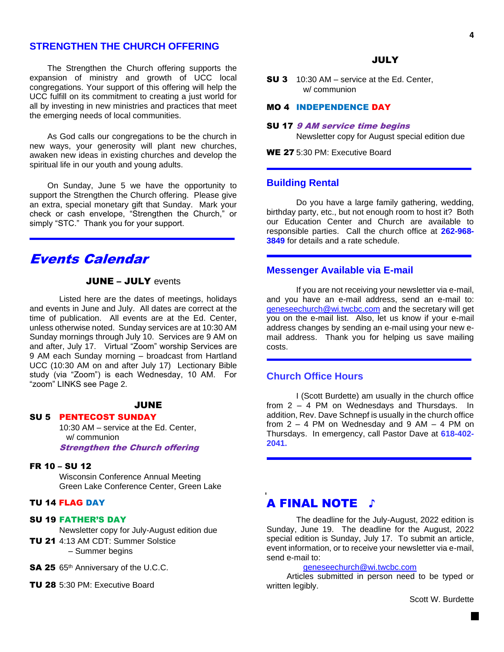## **STRENGTHEN THE CHURCH OFFERING**

The Strengthen the Church offering supports the expansion of ministry and growth of UCC local congregations. Your support of this offering will help the UCC fulfill on its commitment to creating a just world for all by investing in new ministries and practices that meet the emerging needs of local communities.

As God calls our congregations to be the church in new ways, your generosity will plant new churches, awaken new ideas in existing churches and develop the spiritual life in our youth and young adults.

On Sunday, June 5 we have the opportunity to support the Strengthen the Church offering. Please give an extra, special monetary gift that Sunday. Mark your check or cash envelope, "Strengthen the Church," or simply "STC." Thank you for your support.

## Events Calendar

## **JUNE - JULY events**

Listed here are the dates of meetings, holidays and events in June and July. All dates are correct at the time of publication. All events are at the Ed. Center, unless otherwise noted. Sunday services are at 10:30 AM Sunday mornings through July 10. Services are 9 AM on and after, July 17. Virtual "Zoom" worship Services are 9 AM each Sunday morning – broadcast from Hartland UCC (10:30 AM on and after July 17) Lectionary Bible study (via "Zoom") is each Wednesday, 10 AM. For "zoom" LINKS see Page 2.

#### **JUNE**

#### SU 5 PENTECOST SUNDAY

10:30 AM – service at the Ed. Center, w/ communion Strengthen the Church offering

#### FR 10 – SU 12

Wisconsin Conference Annual Meeting Green Lake Conference Center, Green Lake

#### TU 14 FLAG DAY

#### SU 19 FATHER'S DAY

Newsletter copy for July-August edition due

- TU 21 4:13 AM CDT: Summer Solstice – Summer begins
- SA 25 65<sup>th</sup> Anniversary of the U.C.C.
- TU 28 5:30 PM: Executive Board

#### **JULY**

**SU 3** 10:30 AM – service at the Ed. Center, w/ communion

### MO 4 INDEPENDENCE DAY

#### SU 17 9 AM service time begins

Newsletter copy for August special edition due

WE 27 5:30 PM: Executive Board

#### **Building Rental**

Do you have a large family gathering, wedding, birthday party, etc., but not enough room to host it? Both our Education Center and Church are available to responsible parties. Call the church office at **262-968- 3849** for details and a rate schedule.

#### **Messenger Available via E-mail**

If you are not receiving your newsletter via e-mail, and you have an e-mail address, send an e-mail to: [geneseechurch@wi.twcbc.com](mailto:geneseechurch@wi.twcbc.com) and the secretary will get you on the e-mail list. Also, let us know if your e-mail address changes by sending an e-mail using your new email address. Thank you for helping us save mailing costs.

### **Church Office Hours**

I (Scott Burdette) am usually in the church office from 2 – 4 PM on Wednesdays and Thursdays. In addition, Rev. Dave Schnepf is usually in the church office from  $2 - 4$  PM on Wednesday and  $9$  AM  $- 4$  PM on Thursdays. In emergency, call Pastor Dave at **618-402- 2041.**

## A FINAL NOTE ♪

The deadline for the July-August, 2022 edition is Sunday, June 19. The deadline for the August, 2022 special edition is Sunday, July 17. To submit an article, event information, or to receive your newsletter via e-mail, send e-mail to:

#### [geneseechurch@wi.twcbc.com](mailto:geneseechurch@wi.twcbc.com)

Articles submitted in person need to be typed or written legibly.